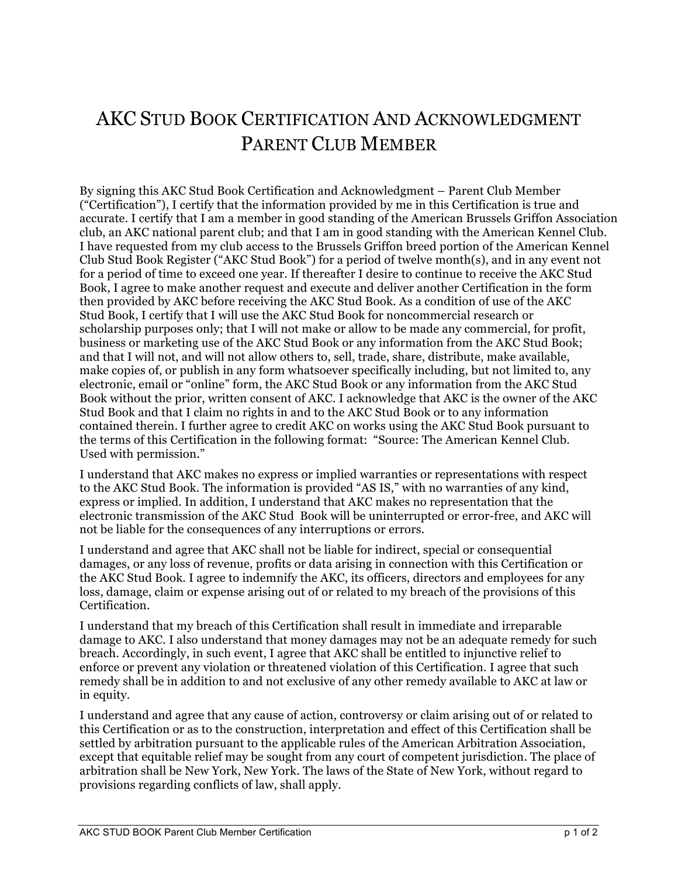## AKC STUD BOOK CERTIFICATION AND ACKNOWLEDGMENT PARENT CLUB MEMBER

By signing this AKC Stud Book Certification and Acknowledgment – Parent Club Member ("Certification"), I certify that the information provided by me in this Certification is true and accurate. I certify that I am a member in good standing of the American Brussels Griffon Association club, an AKC national parent club; and that I am in good standing with the American Kennel Club. I have requested from my club access to the Brussels Griffon breed portion of the American Kennel Club Stud Book Register ("AKC Stud Book") for a period of twelve month(s), and in any event not for a period of time to exceed one year. If thereafter I desire to continue to receive the AKC Stud Book, I agree to make another request and execute and deliver another Certification in the form then provided by AKC before receiving the AKC Stud Book. As a condition of use of the AKC Stud Book, I certify that I will use the AKC Stud Book for noncommercial research or scholarship purposes only; that I will not make or allow to be made any commercial, for profit, business or marketing use of the AKC Stud Book or any information from the AKC Stud Book; and that I will not, and will not allow others to, sell, trade, share, distribute, make available, make copies of, or publish in any form whatsoever specifically including, but not limited to, any electronic, email or "online" form, the AKC Stud Book or any information from the AKC Stud Book without the prior, written consent of AKC. I acknowledge that AKC is the owner of the AKC Stud Book and that I claim no rights in and to the AKC Stud Book or to any information contained therein. I further agree to credit AKC on works using the AKC Stud Book pursuant to the terms of this Certification in the following format: "Source: The American Kennel Club. Used with permission."

I understand that AKC makes no express or implied warranties or representations with respect to the AKC Stud Book. The information is provided "AS IS," with no warranties of any kind, express or implied. In addition, I understand that AKC makes no representation that the electronic transmission of the AKC Stud Book will be uninterrupted or error-free, and AKC will not be liable for the consequences of any interruptions or errors.

I understand and agree that AKC shall not be liable for indirect, special or consequential damages, or any loss of revenue, profits or data arising in connection with this Certification or the AKC Stud Book. I agree to indemnify the AKC, its officers, directors and employees for any loss, damage, claim or expense arising out of or related to my breach of the provisions of this Certification.

I understand that my breach of this Certification shall result in immediate and irreparable damage to AKC. I also understand that money damages may not be an adequate remedy for such breach. Accordingly, in such event, I agree that AKC shall be entitled to injunctive relief to enforce or prevent any violation or threatened violation of this Certification. I agree that such remedy shall be in addition to and not exclusive of any other remedy available to AKC at law or in equity.

I understand and agree that any cause of action, controversy or claim arising out of or related to this Certification or as to the construction, interpretation and effect of this Certification shall be settled by arbitration pursuant to the applicable rules of the American Arbitration Association, except that equitable relief may be sought from any court of competent jurisdiction. The place of arbitration shall be New York, New York. The laws of the State of New York, without regard to provisions regarding conflicts of law, shall apply.